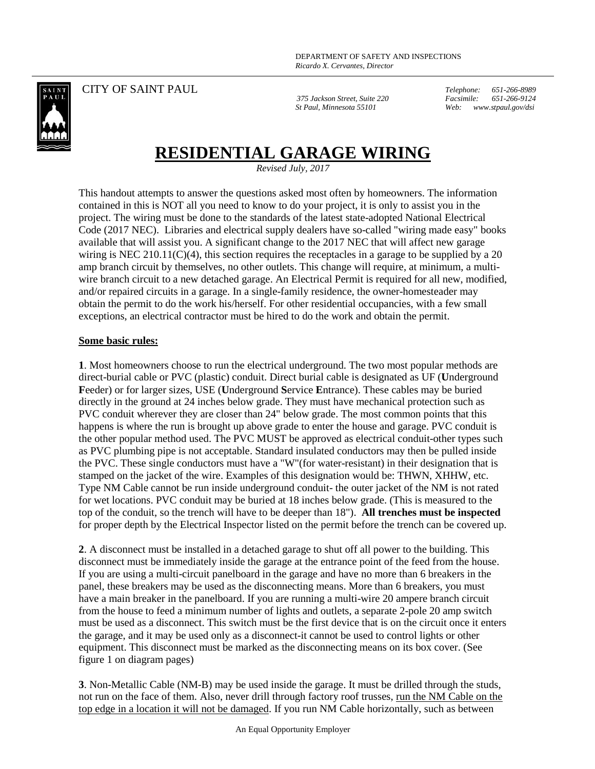

CITY OF SAINT PAUL

*375 Jackson Street, Suite 220 St Paul, Minnesota 55101*

*Telephone: 651-266-8989 Facsimile: 651-266-9124 Web: www.stpaul.gov/dsi*

## **RESIDENTIAL GARAGE WIRING**

*Revised July, 2017*

This handout attempts to answer the questions asked most often by homeowners. The information contained in this is NOT all you need to know to do your project, it is only to assist you in the project. The wiring must be done to the standards of the latest state-adopted National Electrical Code (2017 NEC). Libraries and electrical supply dealers have so-called "wiring made easy" books available that will assist you. A significant change to the 2017 NEC that will affect new garage wiring is NEC 210.11(C)(4), this section requires the receptacles in a garage to be supplied by a 20 amp branch circuit by themselves, no other outlets. This change will require, at minimum, a multiwire branch circuit to a new detached garage. An Electrical Permit is required for all new, modified, and/or repaired circuits in a garage. In a single-family residence, the owner-homesteader may obtain the permit to do the work his/herself. For other residential occupancies, with a few small exceptions, an electrical contractor must be hired to do the work and obtain the permit.

## **Some basic rules:**

**1**. Most homeowners choose to run the electrical underground. The two most popular methods are direct-burial cable or PVC (plastic) conduit. Direct burial cable is designated as UF (**U**nderground **F**eeder) or for larger sizes, USE (**U**nderground **S**ervice **E**ntrance). These cables may be buried directly in the ground at 24 inches below grade. They must have mechanical protection such as PVC conduit wherever they are closer than 24" below grade. The most common points that this happens is where the run is brought up above grade to enter the house and garage. PVC conduit is the other popular method used. The PVC MUST be approved as electrical conduit-other types such as PVC plumbing pipe is not acceptable. Standard insulated conductors may then be pulled inside the PVC. These single conductors must have a "W"(for water-resistant) in their designation that is stamped on the jacket of the wire. Examples of this designation would be: THWN, XHHW, etc. Type NM Cable cannot be run inside underground conduit- the outer jacket of the NM is not rated for wet locations. PVC conduit may be buried at 18 inches below grade. (This is measured to the top of the conduit, so the trench will have to be deeper than 18"). **All trenches must be inspected**  for proper depth by the Electrical Inspector listed on the permit before the trench can be covered up.

**2**. A disconnect must be installed in a detached garage to shut off all power to the building. This disconnect must be immediately inside the garage at the entrance point of the feed from the house. If you are using a multi-circuit panelboard in the garage and have no more than 6 breakers in the panel, these breakers may be used as the disconnecting means. More than 6 breakers, you must have a main breaker in the panelboard. If you are running a multi-wire 20 ampere branch circuit from the house to feed a minimum number of lights and outlets, a separate 2-pole 20 amp switch must be used as a disconnect. This switch must be the first device that is on the circuit once it enters the garage, and it may be used only as a disconnect-it cannot be used to control lights or other equipment. This disconnect must be marked as the disconnecting means on its box cover. (See figure 1 on diagram pages)

**3**. Non-Metallic Cable (NM-B) may be used inside the garage. It must be drilled through the studs, not run on the face of them. Also, never drill through factory roof trusses, run the NM Cable on the top edge in a location it will not be damaged. If you run NM Cable horizontally, such as between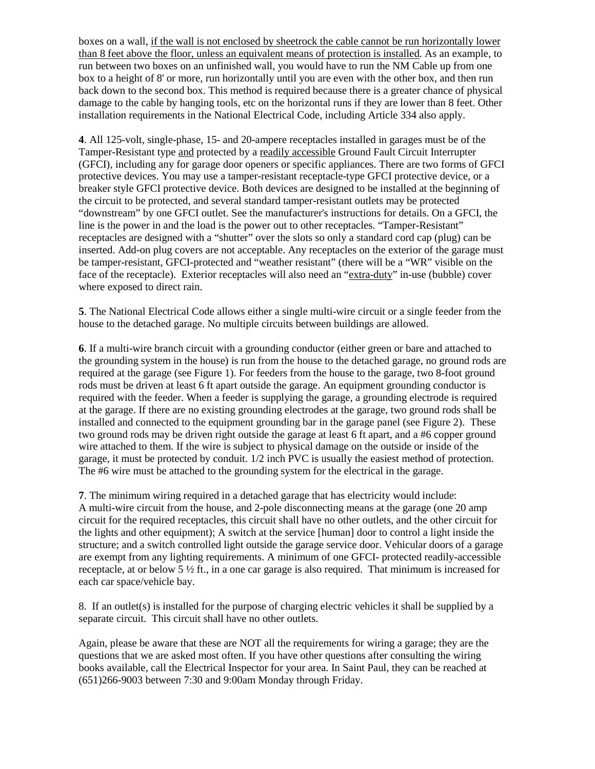boxes on a wall, if the wall is not enclosed by sheetrock the cable cannot be run horizontally lower than 8 feet above the floor, unless an equivalent means of protection is installed. As an example, to run between two boxes on an unfinished wall, you would have to run the NM Cable up from one box to a height of 8' or more, run horizontally until you are even with the other box, and then run back down to the second box. This method is required because there is a greater chance of physical damage to the cable by hanging tools, etc on the horizontal runs if they are lower than 8 feet. Other installation requirements in the National Electrical Code, including Article 334 also apply.

**4**. All 125-volt, single-phase, 15- and 20-ampere receptacles installed in garages must be of the Tamper-Resistant type and protected by a readily accessible Ground Fault Circuit Interrupter (GFCI), including any for garage door openers or specific appliances. There are two forms of GFCI protective devices. You may use a tamper-resistant receptacle-type GFCI protective device, or a breaker style GFCI protective device. Both devices are designed to be installed at the beginning of the circuit to be protected, and several standard tamper-resistant outlets may be protected "downstream" by one GFCI outlet. See the manufacturer's instructions for details. On a GFCI, the line is the power in and the load is the power out to other receptacles. "Tamper-Resistant" receptacles are designed with a "shutter" over the slots so only a standard cord cap (plug) can be inserted. Add-on plug covers are not acceptable. Any receptacles on the exterior of the garage must be tamper-resistant, GFCI-protected and "weather resistant" (there will be a "WR" visible on the face of the receptacle). Exterior receptacles will also need an "extra-duty" in-use (bubble) cover where exposed to direct rain.

**5**. The National Electrical Code allows either a single multi-wire circuit or a single feeder from the house to the detached garage. No multiple circuits between buildings are allowed.

**6**. If a multi-wire branch circuit with a grounding conductor (either green or bare and attached to the grounding system in the house) is run from the house to the detached garage, no ground rods are required at the garage (see Figure 1). For feeders from the house to the garage, two 8-foot ground rods must be driven at least 6 ft apart outside the garage. An equipment grounding conductor is required with the feeder. When a feeder is supplying the garage, a grounding electrode is required at the garage. If there are no existing grounding electrodes at the garage, two ground rods shall be installed and connected to the equipment grounding bar in the garage panel (see Figure 2). These two ground rods may be driven right outside the garage at least 6 ft apart, and a #6 copper ground wire attached to them. If the wire is subject to physical damage on the outside or inside of the garage, it must be protected by conduit. 1/2 inch PVC is usually the easiest method of protection. The #6 wire must be attached to the grounding system for the electrical in the garage.

**7**. The minimum wiring required in a detached garage that has electricity would include: A multi-wire circuit from the house, and 2-pole disconnecting means at the garage (one 20 amp circuit for the required receptacles, this circuit shall have no other outlets, and the other circuit for the lights and other equipment); A switch at the service [human] door to control a light inside the structure; and a switch controlled light outside the garage service door. Vehicular doors of a garage are exempt from any lighting requirements. A minimum of one GFCI- protected readily-accessible receptacle, at or below 5 ½ ft., in a one car garage is also required. That minimum is increased for each car space/vehicle bay.

8. If an outlet(s) is installed for the purpose of charging electric vehicles it shall be supplied by a separate circuit. This circuit shall have no other outlets.

Again, please be aware that these are NOT all the requirements for wiring a garage; they are the questions that we are asked most often. If you have other questions after consulting the wiring books available, call the Electrical Inspector for your area. In Saint Paul, they can be reached at (651)266-9003 between 7:30 and 9:00am Monday through Friday.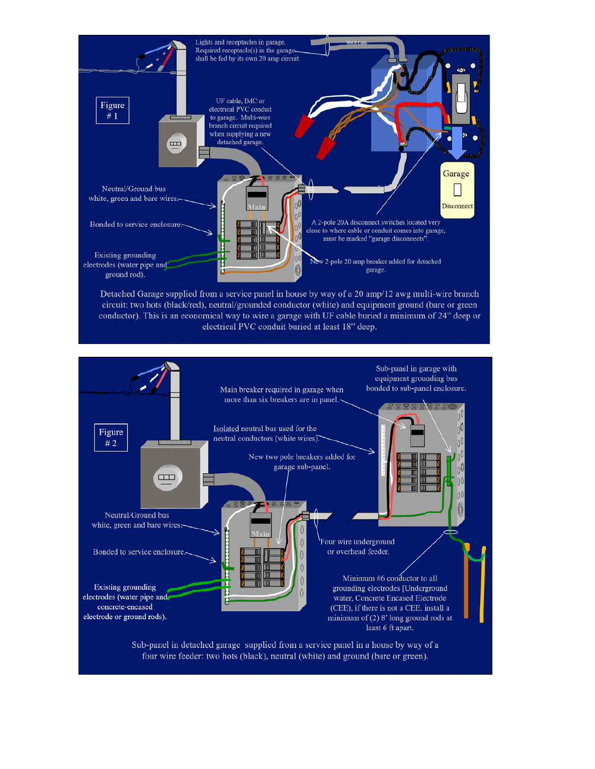

Detached Garage supplied from a service panel in house by way of a 20 amp/12 awg multi-wire branch circuit: two hots (black/red), neutral/grounded conductor (white) and equipment ground (bare or green conductor). This is an economical way to wire a garage with UF cable buried a minimum of 24" deep or electrical PVC conduit buried at least 18" deep.